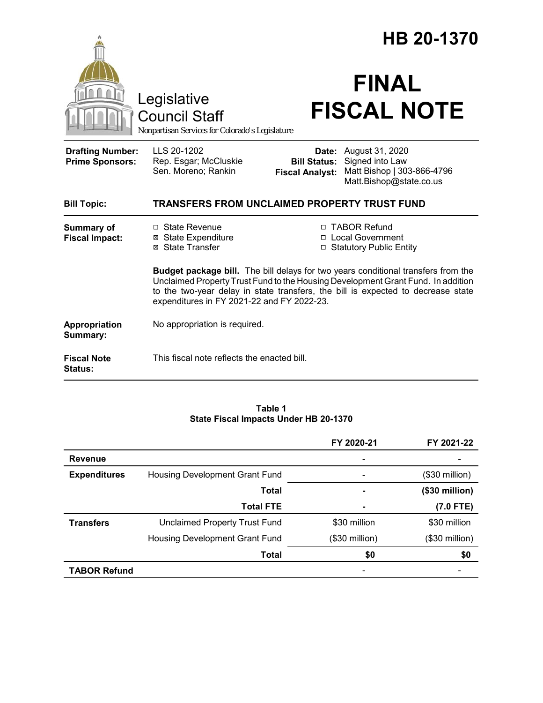|                                                   |                                                                                                                                                                                                                                                                                                                | HB 20-1370                                             |                                                                                             |  |
|---------------------------------------------------|----------------------------------------------------------------------------------------------------------------------------------------------------------------------------------------------------------------------------------------------------------------------------------------------------------------|--------------------------------------------------------|---------------------------------------------------------------------------------------------|--|
|                                                   | Legislative<br><b>Council Staff</b><br>Nonpartisan Services for Colorado's Legislature                                                                                                                                                                                                                         |                                                        | <b>FINAL</b><br><b>FISCAL NOTE</b>                                                          |  |
| <b>Drafting Number:</b><br><b>Prime Sponsors:</b> | LLS 20-1202<br>Rep. Esgar; McCluskie<br>Sen. Moreno; Rankin                                                                                                                                                                                                                                                    | Date:<br><b>Bill Status:</b><br><b>Fiscal Analyst:</b> | August 31, 2020<br>Signed into Law<br>Matt Bishop   303-866-4796<br>Matt.Bishop@state.co.us |  |
| <b>Bill Topic:</b>                                | TRANSFERS FROM UNCLAIMED PROPERTY TRUST FUND                                                                                                                                                                                                                                                                   |                                                        |                                                                                             |  |
| <b>Summary of</b><br><b>Fiscal Impact:</b>        | $\Box$ State Revenue<br><b>⊠ State Expenditure</b><br>⊠ State Transfer                                                                                                                                                                                                                                         |                                                        | □ TABOR Refund<br>□ Local Government<br>□ Statutory Public Entity                           |  |
|                                                   | <b>Budget package bill.</b> The bill delays for two years conditional transfers from the<br>Unclaimed Property Trust Fund to the Housing Development Grant Fund. In addition<br>to the two-year delay in state transfers, the bill is expected to decrease state<br>expenditures in FY 2021-22 and FY 2022-23. |                                                        |                                                                                             |  |
| Appropriation<br>Summary:                         | No appropriation is required.                                                                                                                                                                                                                                                                                  |                                                        |                                                                                             |  |
| <b>Fiscal Note</b><br><b>Status:</b>              | This fiscal note reflects the enacted bill.                                                                                                                                                                                                                                                                    |                                                        |                                                                                             |  |

#### **Table 1 State Fiscal Impacts Under HB 20-1370**

|                     |                                      | FY 2020-21      | FY 2021-22      |
|---------------------|--------------------------------------|-----------------|-----------------|
| <b>Revenue</b>      |                                      |                 |                 |
| <b>Expenditures</b> | Housing Development Grant Fund       |                 | $($30$ million) |
|                     | <b>Total</b>                         | ۰               | (\$30 million)  |
|                     | <b>Total FTE</b>                     |                 | $(7.0$ FTE)     |
| <b>Transfers</b>    | <b>Unclaimed Property Trust Fund</b> | \$30 million    | \$30 million    |
|                     | Housing Development Grant Fund       | $($30$ million) | $($30$ million) |
|                     | Total                                | \$0             | \$0             |
| <b>TABOR Refund</b> |                                      |                 |                 |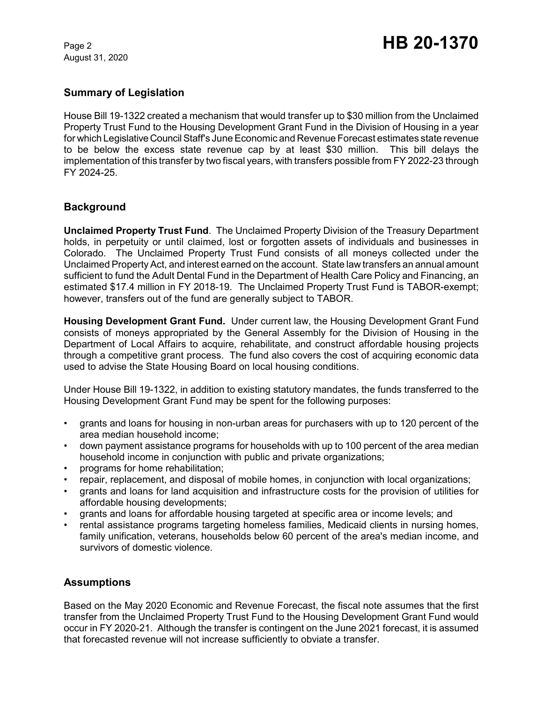August 31, 2020

## **Summary of Legislation**

House Bill 19-1322 created a mechanism that would transfer up to \$30 million from the Unclaimed Property Trust Fund to the Housing Development Grant Fund in the Division of Housing in a year for which Legislative Council Staff's June Economic and Revenue Forecast estimates state revenue to be below the excess state revenue cap by at least \$30 million. This bill delays the implementation of this transfer by two fiscal years, with transfers possible from FY 2022-23 through FY 2024-25.

# **Background**

**Unclaimed Property Trust Fund**. The Unclaimed Property Division of the Treasury Department holds, in perpetuity or until claimed, lost or forgotten assets of individuals and businesses in Colorado. The Unclaimed Property Trust Fund consists of all moneys collected under the Unclaimed Property Act, and interest earned on the account. State law transfers an annual amount sufficient to fund the Adult Dental Fund in the Department of Health Care Policy and Financing, an estimated \$17.4 million in FY 2018-19. The Unclaimed Property Trust Fund is TABOR-exempt; however, transfers out of the fund are generally subject to TABOR.

**Housing Development Grant Fund.** Under current law, the Housing Development Grant Fund consists of moneys appropriated by the General Assembly for the Division of Housing in the Department of Local Affairs to acquire, rehabilitate, and construct affordable housing projects through a competitive grant process. The fund also covers the cost of acquiring economic data used to advise the State Housing Board on local housing conditions.

Under House Bill 19-1322, in addition to existing statutory mandates, the funds transferred to the Housing Development Grant Fund may be spent for the following purposes:

- grants and loans for housing in non-urban areas for purchasers with up to 120 percent of the area median household income;
- down payment assistance programs for households with up to 100 percent of the area median household income in conjunction with public and private organizations;
- programs for home rehabilitation;
- repair, replacement, and disposal of mobile homes, in conjunction with local organizations;
- grants and loans for land acquisition and infrastructure costs for the provision of utilities for affordable housing developments;
- grants and loans for affordable housing targeted at specific area or income levels; and
- rental assistance programs targeting homeless families, Medicaid clients in nursing homes, family unification, veterans, households below 60 percent of the area's median income, and survivors of domestic violence.

## **Assumptions**

Based on the May 2020 Economic and Revenue Forecast, the fiscal note assumes that the first transfer from the Unclaimed Property Trust Fund to the Housing Development Grant Fund would occur in FY 2020-21. Although the transfer is contingent on the June 2021 forecast, it is assumed that forecasted revenue will not increase sufficiently to obviate a transfer.